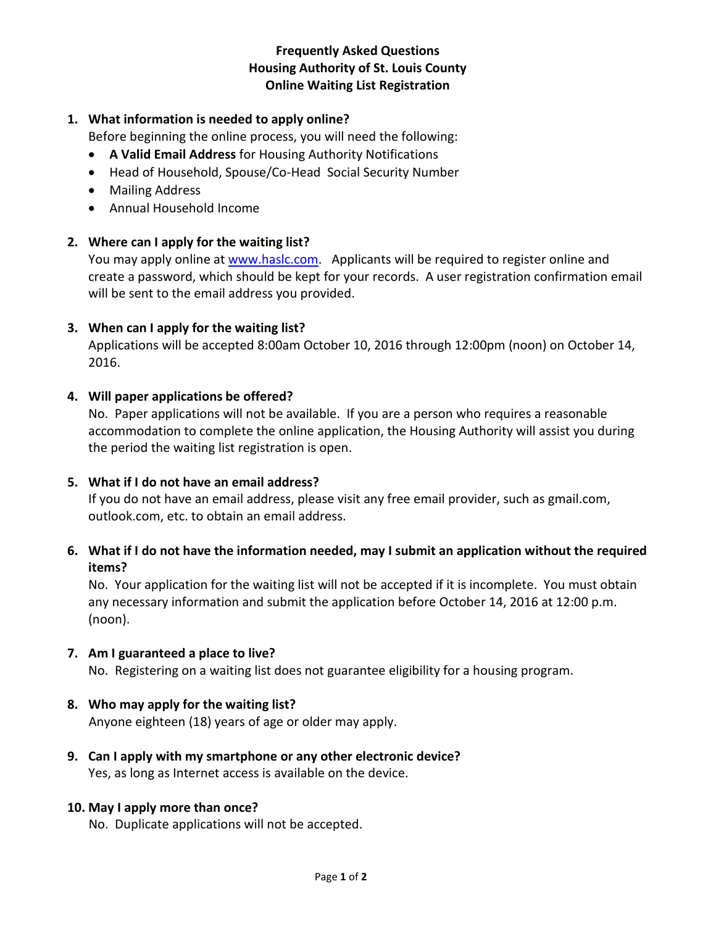# **Frequently Asked Questions Housing Authority of St. Louis County Online Waiting List Registration**

### **1. What information is needed to apply online?**

Before beginning the online process, you will need the following:

- **A Valid Email Address** for Housing Authority Notifications
- Head of Household, Spouse/Co-Head Social Security Number
- Mailing Address
- Annual Household Income

## **2. Where can I apply for the waiting list?**

You may apply online at [www.haslc.com.](http://www.haslc.com/) Applicants will be required to register online and create a password, which should be kept for your records. A user registration confirmation email will be sent to the email address you provided.

## **3. When can I apply for the waiting list?**

Applications will be accepted 8:00am October 10, 2016 through 12:00pm (noon) on October 14, 2016.

#### **4. Will paper applications be offered?**

No. Paper applications will not be available. If you are a person who requires a reasonable accommodation to complete the online application, the Housing Authority will assist you during the period the waiting list registration is open.

#### **5. What if I do not have an email address?**

If you do not have an email address, please visit any free email provider, such as gmail.com, outlook.com, etc. to obtain an email address.

# **6. What if I do not have the information needed, may I submit an application without the required items?**

No. Your application for the waiting list will not be accepted if it is incomplete. You must obtain any necessary information and submit the application before October 14, 2016 at 12:00 p.m. (noon).

#### **7. Am I guaranteed a place to live?**

No. Registering on a waiting list does not guarantee eligibility for a housing program.

#### **8. Who may apply for the waiting list?**

Anyone eighteen (18) years of age or older may apply.

**9. Can I apply with my smartphone or any other electronic device?** Yes, as long as Internet access is available on the device.

#### **10. May I apply more than once?**

No. Duplicate applications will not be accepted.